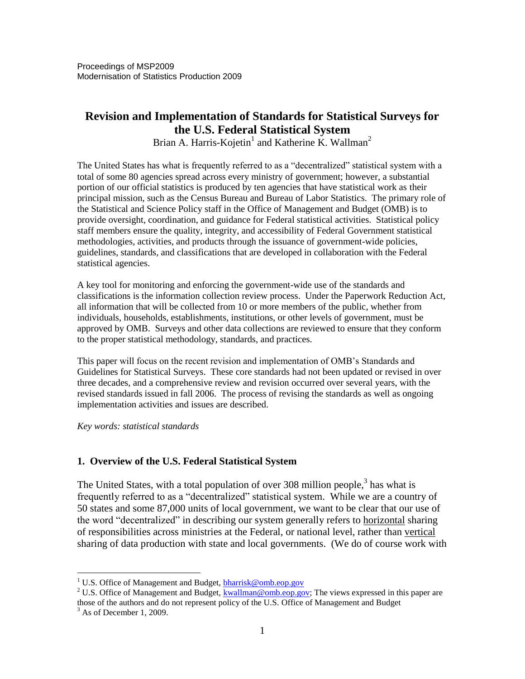# **Revision and Implementation of Standards for Statistical Surveys for the U.S. Federal Statistical System**

Brian A. Harris-Kojetin<sup>1</sup> and Katherine K. Wallman<sup>2</sup>

The United States has what is frequently referred to as a "decentralized" statistical system with a total of some 80 agencies spread across every ministry of government; however, a substantial portion of our official statistics is produced by ten agencies that have statistical work as their principal mission, such as the Census Bureau and Bureau of Labor Statistics. The primary role of the Statistical and Science Policy staff in the Office of Management and Budget (OMB) is to provide oversight, coordination, and guidance for Federal statistical activities. Statistical policy staff members ensure the quality, integrity, and accessibility of Federal Government statistical methodologies, activities, and products through the issuance of government-wide policies, guidelines, standards, and classifications that are developed in collaboration with the Federal statistical agencies.

A key tool for monitoring and enforcing the government-wide use of the standards and classifications is the information collection review process. Under the Paperwork Reduction Act, all information that will be collected from 10 or more members of the public, whether from individuals, households, establishments, institutions, or other levels of government, must be approved by OMB. Surveys and other data collections are reviewed to ensure that they conform to the proper statistical methodology, standards, and practices.

This paper will focus on the recent revision and implementation of OMB's Standards and Guidelines for Statistical Surveys. These core standards had not been updated or revised in over three decades, and a comprehensive review and revision occurred over several years, with the revised standards issued in fall 2006. The process of revising the standards as well as ongoing implementation activities and issues are described.

*Key words: statistical standards*

 $\overline{a}$ 

# **1. Overview of the U.S. Federal Statistical System**

The United States, with a total population of over 308 million people,  $3$  has what is frequently referred to as a "decentralized" statistical system. While we are a country of 50 states and some 87,000 units of local government, we want to be clear that our use of the word "decentralized" in describing our system generally refers to horizontal sharing of responsibilities across ministries at the Federal, or national level, rather than vertical sharing of data production with state and local governments. (We do of course work with

<sup>&</sup>lt;sup>1</sup> U.S. Office of Management and Budget, **bharrisk@omb.eop.gov** 

<sup>&</sup>lt;sup>2</sup> U.S. Office of Management and Budget, **kwallman@omb.eop.gov**; The views expressed in this paper are those of the authors and do not represent policy of the U.S. Office of Management and Budget  $3$  As of December 1, 2009.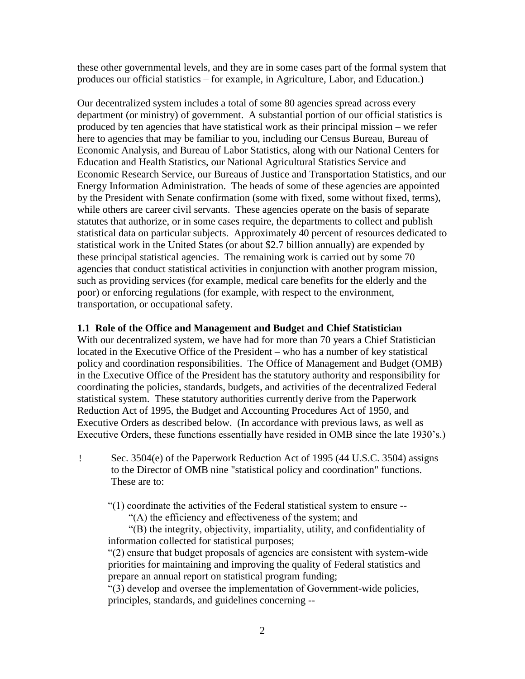these other governmental levels, and they are in some cases part of the formal system that produces our official statistics – for example, in Agriculture, Labor, and Education.)

Our decentralized system includes a total of some 80 agencies spread across every department (or ministry) of government. A substantial portion of our official statistics is produced by ten agencies that have statistical work as their principal mission – we refer here to agencies that may be familiar to you, including our Census Bureau, Bureau of Economic Analysis, and Bureau of Labor Statistics, along with our National Centers for Education and Health Statistics, our National Agricultural Statistics Service and Economic Research Service, our Bureaus of Justice and Transportation Statistics, and our Energy Information Administration. The heads of some of these agencies are appointed by the President with Senate confirmation (some with fixed, some without fixed, terms), while others are career civil servants. These agencies operate on the basis of separate statutes that authorize, or in some cases require, the departments to collect and publish statistical data on particular subjects. Approximately 40 percent of resources dedicated to statistical work in the United States (or about \$2.7 billion annually) are expended by these principal statistical agencies. The remaining work is carried out by some 70 agencies that conduct statistical activities in conjunction with another program mission, such as providing services (for example, medical care benefits for the elderly and the poor) or enforcing regulations (for example, with respect to the environment, transportation, or occupational safety.

## **1.1 Role of the Office and Management and Budget and Chief Statistician**

With our decentralized system, we have had for more than 70 years a Chief Statistician located in the Executive Office of the President – who has a number of key statistical policy and coordination responsibilities. The Office of Management and Budget (OMB) in the Executive Office of the President has the statutory authority and responsibility for coordinating the policies, standards, budgets, and activities of the decentralized Federal statistical system. These statutory authorities currently derive from the Paperwork Reduction Act of 1995, the Budget and Accounting Procedures Act of 1950, and Executive Orders as described below. (In accordance with previous laws, as well as Executive Orders, these functions essentially have resided in OMB since the late 1930's.)

! Sec. 3504(e) of the Paperwork Reduction Act of 1995 (44 U.S.C. 3504) assigns to the Director of OMB nine "statistical policy and coordination" functions. These are to:

"(1) coordinate the activities of the Federal statistical system to ensure --

"(A) the efficiency and effectiveness of the system; and

 "(B) the integrity, objectivity, impartiality, utility, and confidentiality of information collected for statistical purposes;

"(2) ensure that budget proposals of agencies are consistent with system-wide priorities for maintaining and improving the quality of Federal statistics and prepare an annual report on statistical program funding;

"(3) develop and oversee the implementation of Government-wide policies, principles, standards, and guidelines concerning --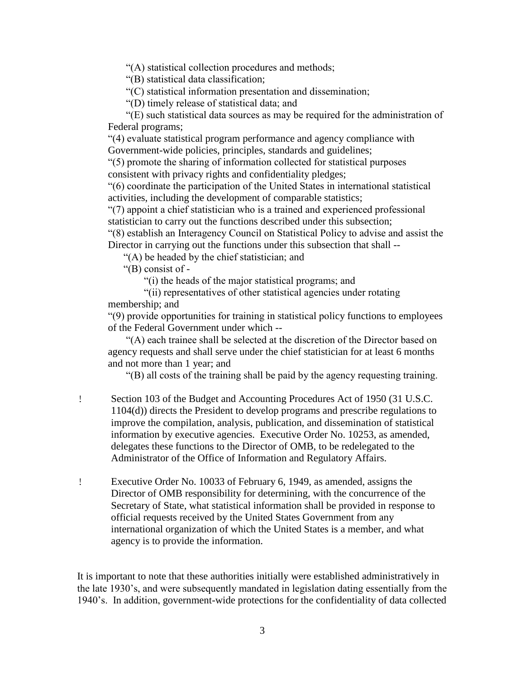"(A) statistical collection procedures and methods;

"(B) statistical data classification;

"(C) statistical information presentation and dissemination;

"(D) timely release of statistical data; and

 "(E) such statistical data sources as may be required for the administration of Federal programs;

"(4) evaluate statistical program performance and agency compliance with Government-wide policies, principles, standards and guidelines;

"(5) promote the sharing of information collected for statistical purposes consistent with privacy rights and confidentiality pledges;

"(6) coordinate the participation of the United States in international statistical activities, including the development of comparable statistics;

"(7) appoint a chief statistician who is a trained and experienced professional statistician to carry out the functions described under this subsection;

"(8) establish an Interagency Council on Statistical Policy to advise and assist the Director in carrying out the functions under this subsection that shall --

"(A) be headed by the chief statistician; and

"(B) consist of -

"(i) the heads of the major statistical programs; and

 "(ii) representatives of other statistical agencies under rotating membership; and

"(9) provide opportunities for training in statistical policy functions to employees of the Federal Government under which --

 "(A) each trainee shall be selected at the discretion of the Director based on agency requests and shall serve under the chief statistician for at least 6 months and not more than 1 year; and

"(B) all costs of the training shall be paid by the agency requesting training.

! Section 103 of the Budget and Accounting Procedures Act of 1950 (31 U.S.C. 1104(d)) directs the President to develop programs and prescribe regulations to improve the compilation, analysis, publication, and dissemination of statistical information by executive agencies. Executive Order No. 10253, as amended, delegates these functions to the Director of OMB, to be redelegated to the Administrator of the Office of Information and Regulatory Affairs.

! Executive Order No. 10033 of February 6, 1949, as amended, assigns the Director of OMB responsibility for determining, with the concurrence of the Secretary of State, what statistical information shall be provided in response to official requests received by the United States Government from any international organization of which the United States is a member, and what agency is to provide the information.

It is important to note that these authorities initially were established administratively in the late 1930's, and were subsequently mandated in legislation dating essentially from the 1940's. In addition, government-wide protections for the confidentiality of data collected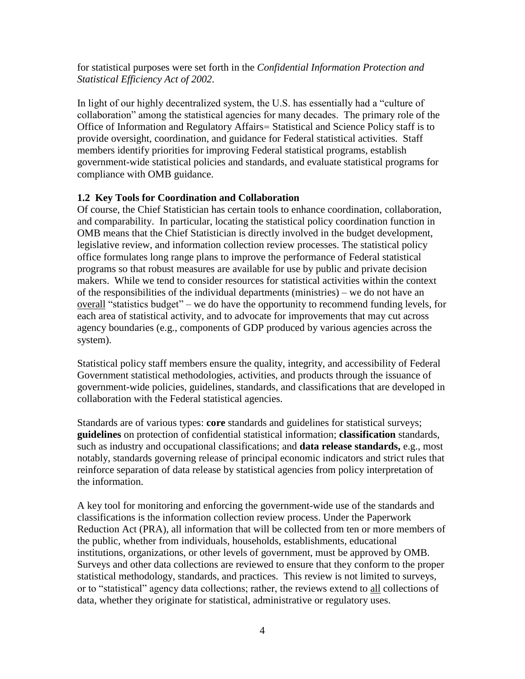for statistical purposes were set forth in the *Confidential Information Protection and Statistical Efficiency Act of 2002.* 

In light of our highly decentralized system, the U.S. has essentially had a "culture of collaboration" among the statistical agencies for many decades. The primary role of the Office of Information and Regulatory Affairs= Statistical and Science Policy staff is to provide oversight, coordination, and guidance for Federal statistical activities. Staff members identify priorities for improving Federal statistical programs, establish government-wide statistical policies and standards, and evaluate statistical programs for compliance with OMB guidance.

## **1.2 Key Tools for Coordination and Collaboration**

Of course, the Chief Statistician has certain tools to enhance coordination, collaboration, and comparability. In particular, locating the statistical policy coordination function in OMB means that the Chief Statistician is directly involved in the budget development, legislative review, and information collection review processes. The statistical policy office formulates long range plans to improve the performance of Federal statistical programs so that robust measures are available for use by public and private decision makers. While we tend to consider resources for statistical activities within the context of the responsibilities of the individual departments (ministries) – we do not have an overall "statistics budget" – we do have the opportunity to recommend funding levels, for each area of statistical activity, and to advocate for improvements that may cut across agency boundaries (e.g., components of GDP produced by various agencies across the system).

Statistical policy staff members ensure the quality, integrity, and accessibility of Federal Government statistical methodologies, activities, and products through the issuance of government-wide policies, guidelines, standards, and classifications that are developed in collaboration with the Federal statistical agencies.

Standards are of various types: **core** standards and guidelines for statistical surveys; **guidelines** on protection of confidential statistical information; **classification** standards, such as industry and occupational classifications; and **data release standards,** e.g., most notably, standards governing release of principal economic indicators and strict rules that reinforce separation of data release by statistical agencies from policy interpretation of the information.

A key tool for monitoring and enforcing the government-wide use of the standards and classifications is the information collection review process. Under the Paperwork Reduction Act (PRA), all information that will be collected from ten or more members of the public, whether from individuals, households, establishments, educational institutions, organizations, or other levels of government, must be approved by OMB. Surveys and other data collections are reviewed to ensure that they conform to the proper statistical methodology, standards, and practices. This review is not limited to surveys, or to "statistical" agency data collections; rather, the reviews extend to all collections of data, whether they originate for statistical, administrative or regulatory uses.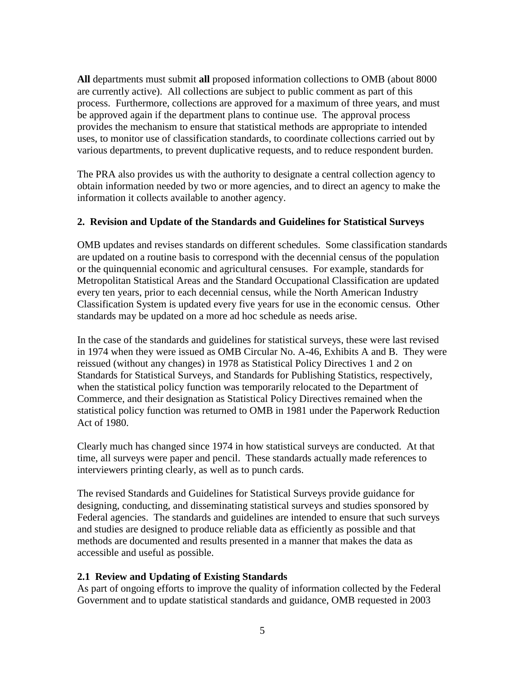**All** departments must submit **all** proposed information collections to OMB (about 8000 are currently active). All collections are subject to public comment as part of this process. Furthermore, collections are approved for a maximum of three years, and must be approved again if the department plans to continue use. The approval process provides the mechanism to ensure that statistical methods are appropriate to intended uses, to monitor use of classification standards, to coordinate collections carried out by various departments, to prevent duplicative requests, and to reduce respondent burden.

The PRA also provides us with the authority to designate a central collection agency to obtain information needed by two or more agencies, and to direct an agency to make the information it collects available to another agency.

## **2. Revision and Update of the Standards and Guidelines for Statistical Surveys**

OMB updates and revises standards on different schedules. Some classification standards are updated on a routine basis to correspond with the decennial census of the population or the quinquennial economic and agricultural censuses. For example, standards for Metropolitan Statistical Areas and the Standard Occupational Classification are updated every ten years, prior to each decennial census, while the North American Industry Classification System is updated every five years for use in the economic census. Other standards may be updated on a more ad hoc schedule as needs arise.

In the case of the standards and guidelines for statistical surveys, these were last revised in 1974 when they were issued as OMB Circular No. A-46, Exhibits A and B. They were reissued (without any changes) in 1978 as Statistical Policy Directives 1 and 2 on Standards for Statistical Surveys, and Standards for Publishing Statistics, respectively, when the statistical policy function was temporarily relocated to the Department of Commerce, and their designation as Statistical Policy Directives remained when the statistical policy function was returned to OMB in 1981 under the Paperwork Reduction Act of 1980.

Clearly much has changed since 1974 in how statistical surveys are conducted. At that time, all surveys were paper and pencil. These standards actually made references to interviewers printing clearly, as well as to punch cards.

The revised Standards and Guidelines for Statistical Surveys provide guidance for designing, conducting, and disseminating statistical surveys and studies sponsored by Federal agencies. The standards and guidelines are intended to ensure that such surveys and studies are designed to produce reliable data as efficiently as possible and that methods are documented and results presented in a manner that makes the data as accessible and useful as possible.

# **2.1 Review and Updating of Existing Standards**

As part of ongoing efforts to improve the quality of information collected by the Federal Government and to update statistical standards and guidance, OMB requested in 2003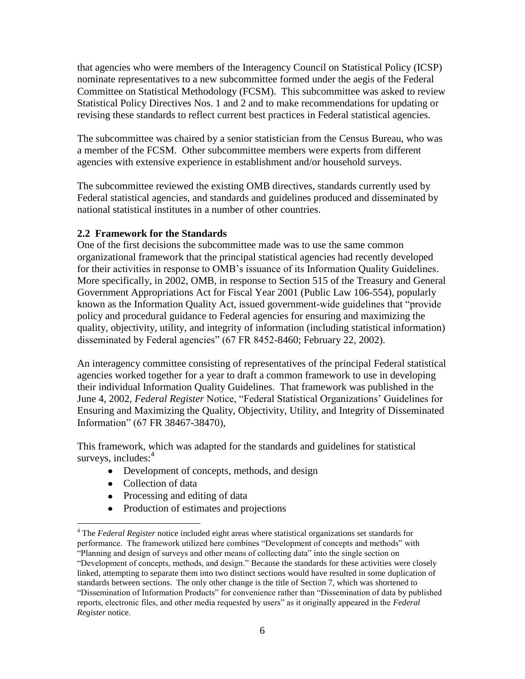that agencies who were members of the Interagency Council on Statistical Policy (ICSP) nominate representatives to a new subcommittee formed under the aegis of the Federal Committee on Statistical Methodology (FCSM). This subcommittee was asked to review Statistical Policy Directives Nos. 1 and 2 and to make recommendations for updating or revising these standards to reflect current best practices in Federal statistical agencies.

The subcommittee was chaired by a senior statistician from the Census Bureau, who was a member of the FCSM. Other subcommittee members were experts from different agencies with extensive experience in establishment and/or household surveys.

The subcommittee reviewed the existing OMB directives, standards currently used by Federal statistical agencies, and standards and guidelines produced and disseminated by national statistical institutes in a number of other countries.

# **2.2 Framework for the Standards**

One of the first decisions the subcommittee made was to use the same common organizational framework that the principal statistical agencies had recently developed for their activities in response to OMB's issuance of its Information Quality Guidelines. More specifically, in 2002, OMB, in response to Section 515 of the Treasury and General Government Appropriations Act for Fiscal Year 2001 (Public Law 106-554), popularly known as the Information Quality Act, issued government-wide guidelines that "provide policy and procedural guidance to Federal agencies for ensuring and maximizing the quality, objectivity, utility, and integrity of information (including statistical information) disseminated by Federal agencies" (67 FR 8452-8460; February 22, 2002).

An interagency committee consisting of representatives of the principal Federal statistical agencies worked together for a year to draft a common framework to use in developing their individual Information Quality Guidelines. That framework was published in the June 4, 2002, *Federal Register* Notice, "Federal Statistical Organizations' Guidelines for Ensuring and Maximizing the Quality, Objectivity, Utility, and Integrity of Disseminated Information" (67 FR 38467-38470),

This framework, which was adapted for the standards and guidelines for statistical surveys, includes:<sup>4</sup>

- Development of concepts, methods, and design
- Collection of data

 $\overline{a}$ 

- Processing and editing of data
- Production of estimates and projections

<sup>4</sup> The *Federal Register* notice included eight areas where statistical organizations set standards for performance. The framework utilized here combines "Development of concepts and methods" with "Planning and design of surveys and other means of collecting data" into the single section on "Development of concepts, methods, and design." Because the standards for these activities were closely linked, attempting to separate them into two distinct sections would have resulted in some duplication of standards between sections. The only other change is the title of Section 7, which was shortened to "Dissemination of Information Products" for convenience rather than "Dissemination of data by published reports, electronic files, and other media requested by users" as it originally appeared in the *Federal Register* notice.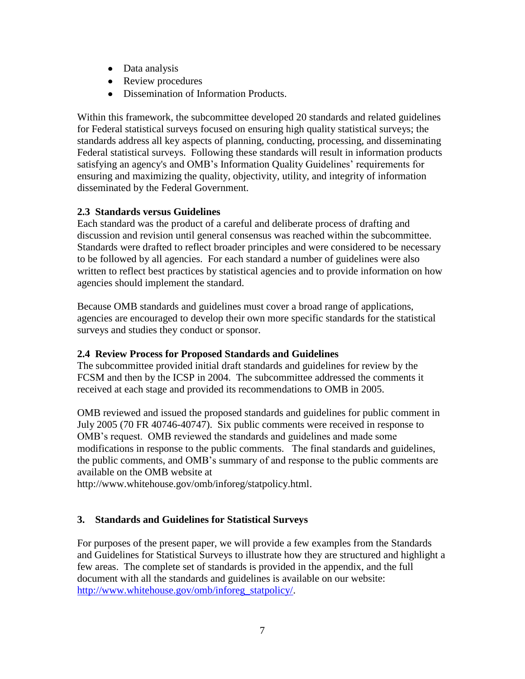- Data analysis
- Review procedures
- Dissemination of Information Products.

Within this framework, the subcommittee developed 20 standards and related guidelines for Federal statistical surveys focused on ensuring high quality statistical surveys; the standards address all key aspects of planning, conducting, processing, and disseminating Federal statistical surveys. Following these standards will result in information products satisfying an agency's and OMB's Information Quality Guidelines' requirements for ensuring and maximizing the quality, objectivity, utility, and integrity of information disseminated by the Federal Government.

# **2.3 Standards versus Guidelines**

Each standard was the product of a careful and deliberate process of drafting and discussion and revision until general consensus was reached within the subcommittee. Standards were drafted to reflect broader principles and were considered to be necessary to be followed by all agencies. For each standard a number of guidelines were also written to reflect best practices by statistical agencies and to provide information on how agencies should implement the standard.

Because OMB standards and guidelines must cover a broad range of applications, agencies are encouraged to develop their own more specific standards for the statistical surveys and studies they conduct or sponsor.

# **2.4 Review Process for Proposed Standards and Guidelines**

The subcommittee provided initial draft standards and guidelines for review by the FCSM and then by the ICSP in 2004. The subcommittee addressed the comments it received at each stage and provided its recommendations to OMB in 2005.

OMB reviewed and issued the proposed standards and guidelines for public comment in July 2005 (70 FR 40746-40747). Six public comments were received in response to OMB's request. OMB reviewed the standards and guidelines and made some modifications in response to the public comments. The final standards and guidelines, the public comments, and OMB's summary of and response to the public comments are available on the OMB website at

http://www.whitehouse.gov/omb/inforeg/statpolicy.html.

# **3. Standards and Guidelines for Statistical Surveys**

For purposes of the present paper, we will provide a few examples from the Standards and Guidelines for Statistical Surveys to illustrate how they are structured and highlight a few areas. The complete set of standards is provided in the appendix, and the full document with all the standards and guidelines is available on our website: [http://www.whitehouse.gov/omb/inforeg\\_statpolicy/.](http://www.whitehouse.gov/omb/inforeg_statpolicy/)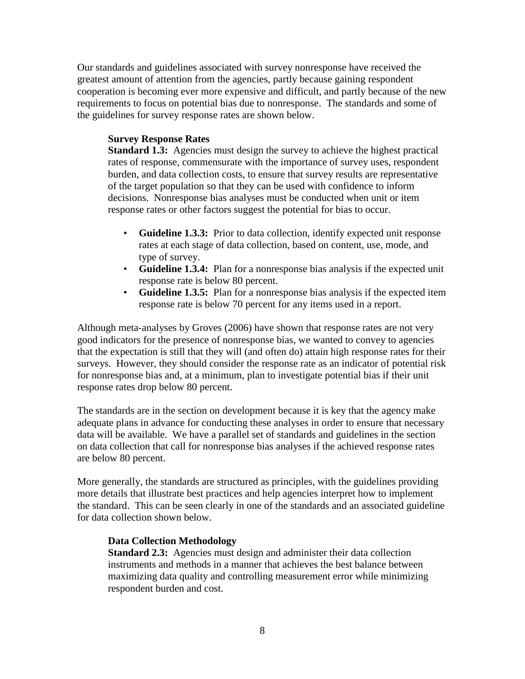Our standards and guidelines associated with survey nonresponse have received the greatest amount of attention from the agencies, partly because gaining respondent cooperation is becoming ever more expensive and difficult, and partly because of the new requirements to focus on potential bias due to nonresponse. The standards and some of the guidelines for survey response rates are shown below.

### **Survey Response Rates**

**Standard 1.3:** Agencies must design the survey to achieve the highest practical rates of response, commensurate with the importance of survey uses, respondent burden, and data collection costs, to ensure that survey results are representative of the [target population](http://nces.ed.gov/statprog/2002/glossary.asp) so that they can be used with confidence to inform decisions. Nonresponse bias analyses must be conducted when unit or item response rates or other factors suggest the potential for bias to occur.

- **Guideline 1.3.3:** Prior to data collection, identify expected unit response rates at each stage of data collection, based on content, use, mode, and type of survey.
- **Guideline 1.3.4:** Plan for a nonresponse bias analysis if the expected unit response rate is below 80 percent.
- **Guideline 1.3.5:** Plan for a nonresponse bias analysis if the expected item response rate is below 70 percent for any items used in a report.

Although meta-analyses by Groves (2006) have shown that response rates are not very good indicators for the presence of nonresponse bias, we wanted to convey to agencies that the expectation is still that they will (and often do) attain high response rates for their surveys. However, they should consider the response rate as an indicator of potential risk for nonresponse bias and, at a minimum, plan to investigate potential bias if their unit response rates drop below 80 percent.

The standards are in the section on development because it is key that the agency make adequate plans in advance for conducting these analyses in order to ensure that necessary data will be available. We have a parallel set of standards and guidelines in the section on data collection that call for nonresponse bias analyses if the achieved response rates are below 80 percent.

More generally, the standards are structured as principles, with the guidelines providing more details that illustrate best practices and help agencies interpret how to implement the standard. This can be seen clearly in one of the standards and an associated guideline for data collection shown below.

#### **Data Collection Methodology**

**Standard 2.3:** Agencies must design and administer their data collection instruments and methods in a manner that achieves the best balance between maximizing data quality and controlling measurement error while minimizing respondent burden and cost.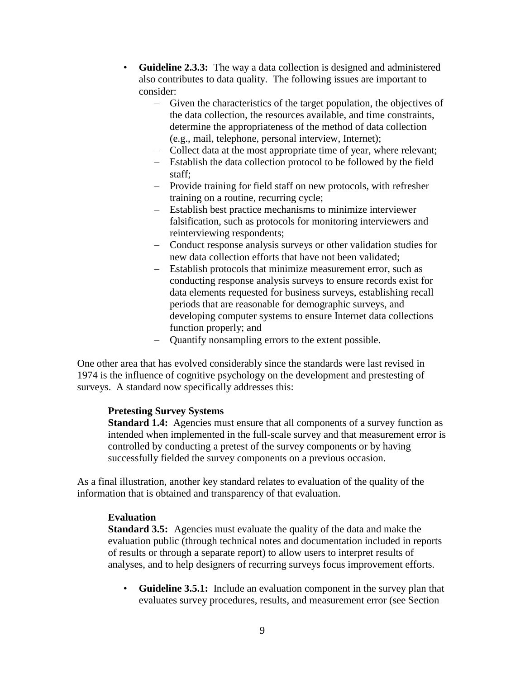- **Guideline 2.3.3:** The way a data collection is designed and administered also contributes to data quality. The following issues are important to consider:
	- Given the characteristics of the target population, the objectives of the data collection, the resources available, and time constraints, determine the appropriateness of the method of data collection (e.g., mail, telephone, personal interview, Internet);
	- Collect data at the most appropriate time of year, where relevant;
	- Establish the data collection protocol to be followed by the field staff;
	- Provide training for field staff on new protocols, with refresher training on a routine, recurring cycle;
	- Establish best practice mechanisms to minimize interviewer falsification, such as protocols for monitoring interviewers and reinterviewing respondents;
	- Conduct response analysis surveys or other validation studies for new data collection efforts that have not been validated;
	- Establish protocols that minimize measurement error, such as conducting response analysis surveys to ensure records exist for data elements requested for business surveys, establishing recall periods that are reasonable for demographic surveys, and developing computer systems to ensure Internet data collections function properly; and
	- Quantify nonsampling errors to the extent possible.

One other area that has evolved considerably since the standards were last revised in 1974 is the influence of cognitive psychology on the development and prestesting of surveys. A standard now specifically addresses this:

## **Pretesting Survey Systems**

**Standard 1.4:** Agencies must ensure that all components of a survey function as intended when implemented in the full-scale survey and that measurement error is controlled by conducting a pretest of the survey components or by having successfully fielded the survey components on a previous occasion.

As a final illustration, another key standard relates to evaluation of the quality of the information that is obtained and transparency of that evaluation.

#### **Evaluation**

**Standard 3.5:** Agencies must evaluate the quality of the data and make the evaluation public (through technical notes and documentation included in reports of results or through a separate report) to allow users to interpret results of analyses, and to help designers of recurring surveys focus improvement efforts.

• **Guideline 3.5.1:** Include an evaluation component in the survey plan that evaluates survey procedures, results, and measurement error (see Section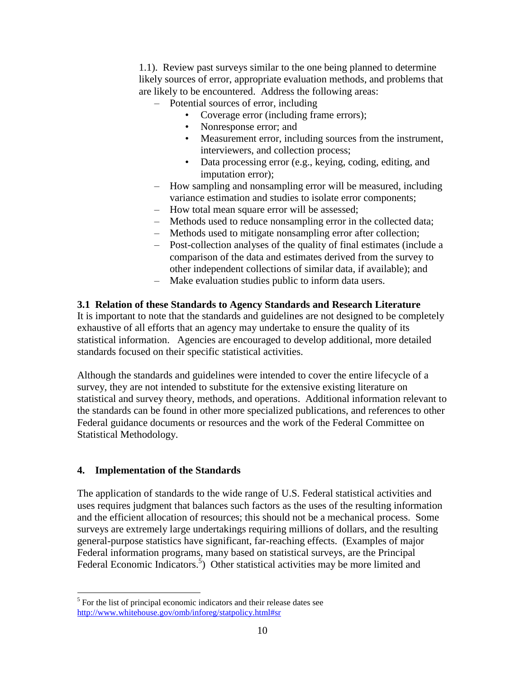1.1). Review past surveys similar to the one being planned to determine likely sources of error, appropriate evaluation methods, and problems that are likely to be encountered. Address the following areas:

- Potential sources of error, including
	- Coverage error (including frame errors);
	- Nonresponse error; and
	- Measurement error, including sources from the instrument, interviewers, and collection process;
	- Data processing error (e.g., keying, coding, editing, and imputation error);
- How sampling and nonsampling error will be measured, including variance estimation and studies to isolate error components;
- How total mean square error will be assessed;
- Methods used to reduce nonsampling error in the collected data;
- Methods used to mitigate nonsampling error after collection;
- Post-collection analyses of the quality of final estimates (include a comparison of the data and estimates derived from the survey to other independent collections of similar data, if available); and
- Make evaluation studies public to inform data users.

# **3.1 Relation of these Standards to Agency Standards and Research Literature**

It is important to note that the standards and guidelines are not designed to be completely exhaustive of all efforts that an agency may undertake to ensure the quality of its statistical information. Agencies are encouraged to develop additional, more detailed standards focused on their specific statistical activities.

Although the standards and guidelines were intended to cover the entire lifecycle of a survey, they are not intended to substitute for the extensive existing literature on statistical and survey theory, methods, and operations. Additional information relevant to the standards can be found in other more specialized publications, and references to other Federal guidance documents or resources and the work of the Federal Committee on Statistical Methodology.

# **4. Implementation of the Standards**

 $\overline{a}$ 

The application of standards to the wide range of U.S. Federal statistical activities and uses requires judgment that balances such factors as the uses of the resulting information and the efficient allocation of resources; this should not be a mechanical process. Some surveys are extremely large undertakings requiring millions of dollars, and the resulting general-purpose statistics have significant, far-reaching effects. (Examples of major Federal information programs, many based on statistical surveys, are the Principal Federal Economic Indicators.<sup>5</sup>) Other statistical activities may be more limited and

 $<sup>5</sup>$  For the list of principal economic indicators and their release dates see</sup> <http://www.whitehouse.gov/omb/inforeg/statpolicy.html#sr>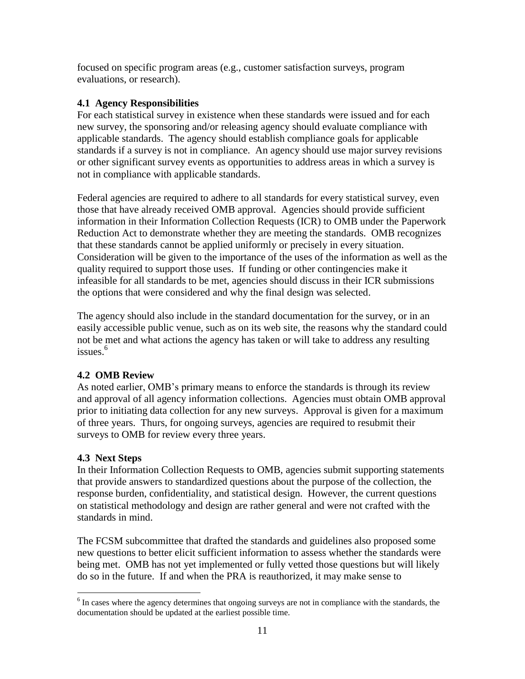focused on specific program areas (e.g., customer satisfaction surveys, program evaluations, or research).

# **4.1 Agency Responsibilities**

For each statistical survey in existence when these standards were issued and for each new survey, the sponsoring and/or releasing agency should evaluate compliance with applicable standards. The agency should establish compliance goals for applicable standards if a survey is not in compliance. An agency should use major survey revisions or other significant survey events as opportunities to address areas in which a survey is not in compliance with applicable standards.

Federal agencies are required to adhere to all standards for every statistical survey, even those that have already received OMB approval. Agencies should provide sufficient information in their Information Collection Requests (ICR) to OMB under the Paperwork Reduction Act to demonstrate whether they are meeting the standards. OMB recognizes that these standards cannot be applied uniformly or precisely in every situation. Consideration will be given to the importance of the uses of the information as well as the quality required to support those uses. If funding or other contingencies make it infeasible for all standards to be met, agencies should discuss in their ICR submissions the options that were considered and why the final design was selected.

The agency should also include in the standard documentation for the survey, or in an easily accessible public venue, such as on its web site, the reasons why the standard could not be met and what actions the agency has taken or will take to address any resulting issues.<sup>6</sup>

# **4.2 OMB Review**

As noted earlier, OMB's primary means to enforce the standards is through its review and approval of all agency information collections. Agencies must obtain OMB approval prior to initiating data collection for any new surveys. Approval is given for a maximum of three years. Thurs, for ongoing surveys, agencies are required to resubmit their surveys to OMB for review every three years.

# **4.3 Next Steps**

In their Information Collection Requests to OMB, agencies submit supporting statements that provide answers to standardized questions about the purpose of the collection, the response burden, confidentiality, and statistical design. However, the current questions on statistical methodology and design are rather general and were not crafted with the standards in mind.

The FCSM subcommittee that drafted the standards and guidelines also proposed some new questions to better elicit sufficient information to assess whether the standards were being met. OMB has not yet implemented or fully vetted those questions but will likely do so in the future. If and when the PRA is reauthorized, it may make sense to

 $\overline{a}$  $6$  In cases where the agency determines that ongoing surveys are not in compliance with the standards, the documentation should be updated at the earliest possible time.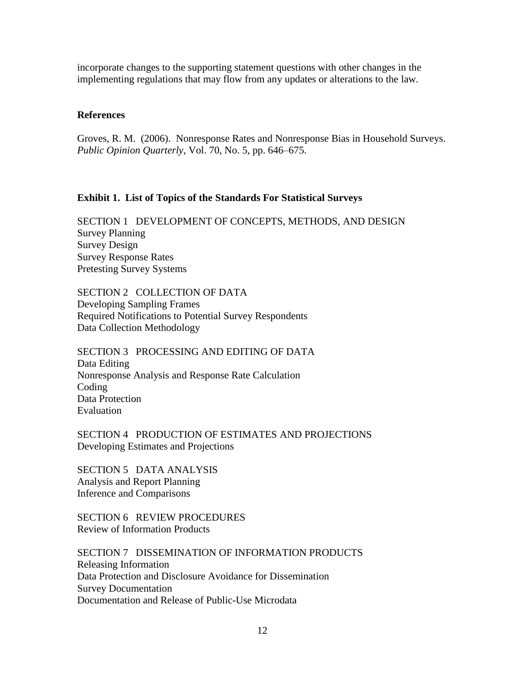incorporate changes to the supporting statement questions with other changes in the implementing regulations that may flow from any updates or alterations to the law.

## **References**

Groves, R. M.(2006). Nonresponse Rates and Nonresponse Bias in Household Surveys. *Public Opinion Quarterly*, Vol. 70, No. 5, pp. 646–675.

# **Exhibit 1. List of Topics of the Standards For Statistical Surveys**

SECTION 1 DEVELOPMENT OF CONCEPTS, METHODS, AND DESIGN Survey Planning Survey Design Survey Response Rates Pretesting Survey Systems

SECTION 2 COLLECTION OF DATA Developing Sampling Frames Required Notifications to Potential Survey Respondents Data Collection Methodology

SECTION 3 PROCESSING AND EDITING OF DATA Data Editing Nonresponse Analysis and Response Rate Calculation Coding Data Protection Evaluation

SECTION 4 PRODUCTION OF ESTIMATES AND PROJECTIONS Developing Estimates and Projections

SECTION 5 DATA ANALYSIS Analysis and Report Planning Inference and Comparisons

SECTION 6 REVIEW PROCEDURES Review of Information Products

SECTION 7 DISSEMINATION OF INFORMATION PRODUCTS Releasing Information Data Protection and Disclosure Avoidance for Dissemination Survey Documentation Documentation and Release of Public-Use Microdata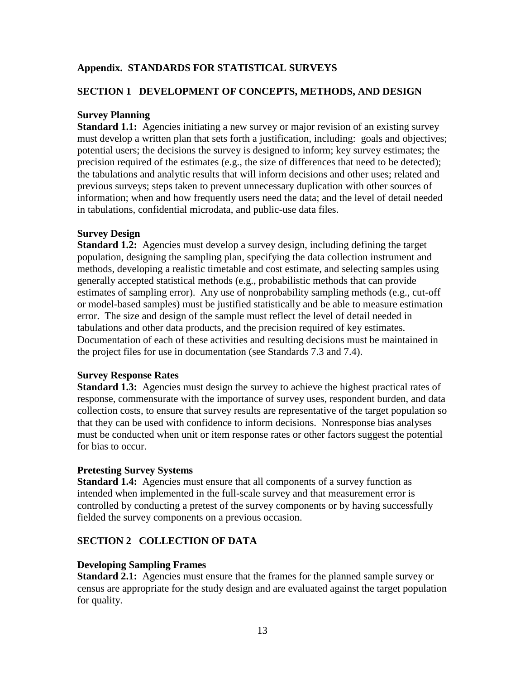# **Appendix. STANDARDS FOR STATISTICAL SURVEYS**

# **SECTION 1 DEVELOPMENT OF CONCEPTS, METHODS, AND DESIGN**

## **Survey Planning**

**Standard 1.1:** Agencies initiating a new survey or major revision of an existing survey must develop a written plan that sets forth a justification, including: goals and objectives; potential users; the decisions the survey is designed to inform; key survey estimates; the precision required of the estimates (e.g., the size of differences that need to be detected); the tabulations and analytic results that will inform decisions and other uses; related and previous surveys; steps taken to prevent unnecessary duplication with other sources of information; when and how frequently users need the data; and the level of detail needed in tabulations, confidential microdata, and public-use data files.

### **Survey Design**

**Standard 1.2:** Agencies must develop a survey design, including defining the target population, designing the sampling plan, specifying the data collection instrument and methods, developing a realistic timetable and cost estimate, and selecting samples using generally accepted statistical methods (e.g., probabilistic methods that can provide estimates of sampling error). Any use of nonprobability sampling methods (e.g., cut-off or model-based samples) must be justified statistically and be able to measure estimation error. The size and design of the sample must reflect the level of detail needed in tabulations and other data products, and the precision required of key estimates. Documentation of each of these activities and resulting decisions must be maintained in the project files for use in documentation (see Standards 7.3 and 7.4).

#### **Survey Response Rates**

**Standard 1.3:** Agencies must design the survey to achieve the highest practical rates of response, commensurate with the importance of survey uses, respondent burden, and data collection costs, to ensure that survey results are representative of the [target population](http://nces.ed.gov/statprog/2002/glossary.asp) so that they can be used with confidence to inform decisions. Nonresponse bias analyses must be conducted when unit or item response rates or other factors suggest the potential for bias to occur.

#### **Pretesting Survey Systems**

**Standard 1.4:** Agencies must ensure that all components of a survey function as intended when implemented in the full-scale survey and that measurement error is controlled by conducting a pretest of the survey components or by having successfully fielded the survey components on a previous occasion.

## **SECTION 2 COLLECTION OF DATA**

## **Developing Sampling Frames**

**Standard 2.1:** Agencies must ensure that the frames for the planned sample survey or census are appropriate for the study design and are evaluated against the target population for quality.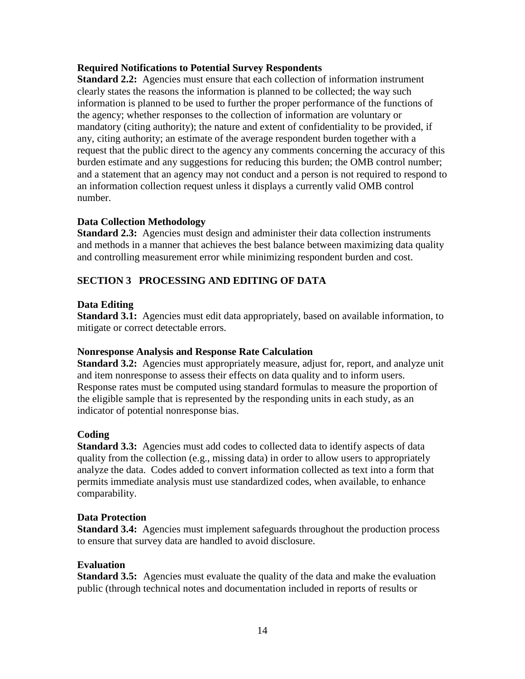## **Required Notifications to Potential Survey Respondents**

**Standard 2.2:** Agencies must ensure that each collection of information instrument clearly states the reasons the information is planned to be collected; the way such information is planned to be used to further the proper performance of the functions of the agency; whether responses to the collection of information are voluntary or mandatory (citing authority); the nature and extent of confidentiality to be provided, if any, citing authority; an estimate of the average respondent burden together with a request that the public direct to the agency any comments concerning the accuracy of this burden estimate and any suggestions for reducing this burden; the OMB control number; and a statement that an agency may not conduct and a person is not required to respond to an information collection request unless it displays a currently valid OMB control number.

## **Data Collection Methodology**

**Standard 2.3:** Agencies must design and administer their data collection instruments and methods in a manner that achieves the best balance between maximizing data quality and controlling measurement error while minimizing respondent burden and cost.

# **SECTION 3 PROCESSING AND EDITING OF DATA**

### **Data Editing**

Standard 3.1: Agencies must edit data appropriately, based on available information, to mitigate or correct detectable errors.

#### **Nonresponse Analysis and Response Rate Calculation**

**Standard 3.2:** Agencies must appropriately measure, adjust for, report, and analyze unit and item nonresponse to assess their effects on data quality and to inform users. Response rates must be computed using standard formulas to measure the proportion of the eligible sample that is represented by the responding units in each study, as an indicator of potential nonresponse bias.

## **Coding**

**Standard 3.3:** Agencies must add codes to collected data to identify aspects of data quality from the collection (e.g., missing data) in order to allow users to appropriately analyze the data. Codes added to convert information collected as text into a form that permits immediate analysis must use standardized codes, when available, to enhance comparability.

#### **Data Protection**

**Standard 3.4:** Agencies must implement safeguards throughout the production process to ensure that survey data are handled to avoid disclosure.

## **Evaluation**

**Standard 3.5:** Agencies must evaluate the quality of the data and make the evaluation public (through technical notes and documentation included in reports of results or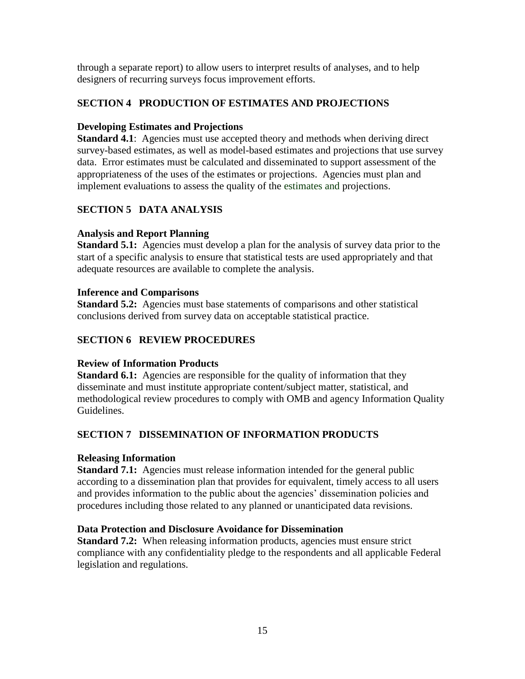through a separate report) to allow users to interpret results of analyses, and to help designers of recurring surveys focus improvement efforts.

# **SECTION 4 PRODUCTION OF ESTIMATES AND PROJECTIONS**

# **Developing Estimates and Projections**

**Standard 4.1**: Agencies must use accepted theory and methods when deriving direct survey-based estimates, as well as model-based estimates and projections that use survey data. Error estimates must be calculated and disseminated to support assessment of the appropriateness of the uses of the estimates or projections. Agencies must plan and implement evaluations to assess the quality of the estimates and projections.

# **SECTION 5 DATA ANALYSIS**

# **Analysis and Report Planning**

**Standard 5.1:** Agencies must develop a plan for the analysis of survey data prior to the start of a specific analysis to ensure that statistical tests are used appropriately and that adequate resources are available to complete the analysis.

# **Inference and Comparisons**

**Standard 5.2:** Agencies must base statements of comparisons and other statistical conclusions derived from survey data on acceptable statistical practice.

# **SECTION 6 REVIEW PROCEDURES**

## **Review of Information Products**

**Standard 6.1:** Agencies are responsible for the quality of information that they disseminate and must institute appropriate content/subject matter, statistical, and methodological review procedures to comply with OMB and agency Information Quality Guidelines.

# **SECTION 7 DISSEMINATION OF INFORMATION PRODUCTS**

# **Releasing Information**

**Standard 7.1:** Agencies must release information intended for the general public according to a dissemination plan that provides for equivalent, timely access to all users and provides information to the public about the agencies' dissemination policies and procedures including those related to any planned or unanticipated data revisions.

## **Data Protection and Disclosure Avoidance for Dissemination**

**Standard 7.2:** When releasing information products, agencies must ensure strict compliance with any confidentiality pledge to the respondents and all applicable Federal legislation and regulations.